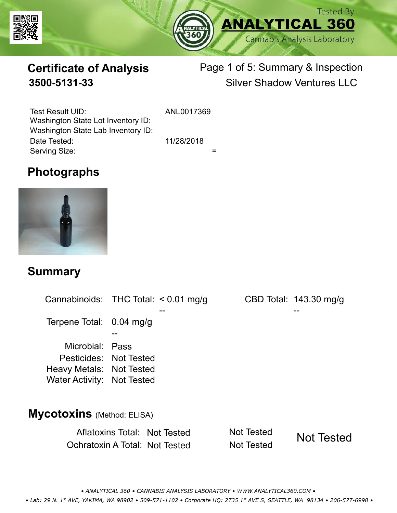



# **Certificate of Analysis**

# Page 1 of 5: Summary & Inspection **3500-5131-33** Silver Shadow Ventures LLC

Serving Size:  $=$ Test Result UID: ANL0017369 Date Tested: 11/28/2018 Washington State Lot Inventory ID: Washington State Lab Inventory ID:

### **Photographs**



#### **Summary**

Cannabinoids: THC Total:  $< 0.01$  mg/g Terpene Total: 0.04 mg/g Microbial: Pass CBD Total: 143.30 mg/g Pesticides: Not Tested Heavy Metals: Not Tested -- -- -- Water Activity: Not Tested **Mycotoxins** (Method: ELISA)

> Aflatoxins Total: Not Tested Not Tested Ochratoxin A Total: Not Tested Not Tested Not Tested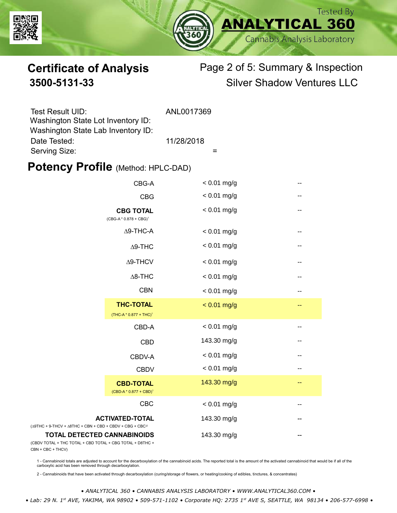



# **Certificate of Analysis** Page 2 of 5: Summary & Inspection **3500-5131-33** Silver Shadow Ventures LLC

| Test Result UID:                   | ANL0017369 |
|------------------------------------|------------|
| Washington State Lot Inventory ID: |            |
| Washington State Lab Inventory ID: |            |
| Date Tested:                       | 11/28/2018 |
| Serving Size:                      |            |

#### **Potency Profile (Method: HPLC-DAD)**

|                                                                                                 | CBG-A                                                  | $< 0.01$ mg/g |                   |
|-------------------------------------------------------------------------------------------------|--------------------------------------------------------|---------------|-------------------|
|                                                                                                 | <b>CBG</b>                                             | $< 0.01$ mg/g | --                |
|                                                                                                 | <b>CBG TOTAL</b><br>$(CBG-A * 0.878 + CBG)^1$          | $< 0.01$ mg/g | $\qquad \qquad -$ |
|                                                                                                 | $\Delta$ 9-THC-A                                       | $< 0.01$ mg/g | --                |
|                                                                                                 | $\Delta$ 9-THC                                         | $< 0.01$ mg/g | $\qquad \qquad -$ |
|                                                                                                 | $\Delta$ 9-THCV                                        | $< 0.01$ mg/g | --                |
|                                                                                                 | $\Delta$ 8-THC                                         | $< 0.01$ mg/g | ۰.                |
|                                                                                                 | <b>CBN</b>                                             | $< 0.01$ mg/g | --                |
|                                                                                                 | <b>THC-TOTAL</b><br>(THC-A * 0.877 + THC) <sup>1</sup> | $< 0.01$ mg/g | --                |
|                                                                                                 | CBD-A                                                  | $< 0.01$ mg/g | --                |
|                                                                                                 | <b>CBD</b>                                             | 143.30 mg/g   | --                |
|                                                                                                 | CBDV-A                                                 | $< 0.01$ mg/g | --                |
|                                                                                                 | <b>CBDV</b>                                            | $< 0.01$ mg/g | $- -$             |
|                                                                                                 | <b>CBD-TOTAL</b><br>$(CBD-A * 0.877 + CBD)^1$          | 143.30 mg/g   | --                |
|                                                                                                 | CBC                                                    | $< 0.01$ mg/g | --                |
| $(\Delta 9THC + 9-THCV + \Delta 8THC + CBN + CBD + CBDV + CBC + CBC)^2$                         | <b>ACTIVATED-TOTAL</b>                                 | 143.30 mg/g   | --                |
| <b>TOTAL DETECTED CANNABINOIDS</b><br>(CBDV TOTAL + THC TOTAL + CBD TOTAL + CBG TOTAL + D8THC + |                                                        | 143.30 mg/g   |                   |

(CBDV TOTAL + THC TOTAL CBN + CBC + THCV)

1 - Cannabinoid totals are adjusted to account for the decarboxylation of the cannabinoid acids. The reported total is the amount of the activated cannabinoid that would be if all of the<br>carboxylic acid has been removed th

2 - Cannabinoids that have been activated through decarboxylation (curing/storage of flowers, or heating/cooking of edibles, tinctures, & concentrates)

*• ANALYTICAL 360 • CANNABIS ANALYSIS LABORATORY • WWW.ANALYTICAL360.COM •*

 *• Lab: 29 N. 1st AVE, YAKIMA, WA 98902 • 509-571-1102 • Corporate HQ: 2735 1st AVE S, SEATTLE, WA 98134 • 206-577-6998 •*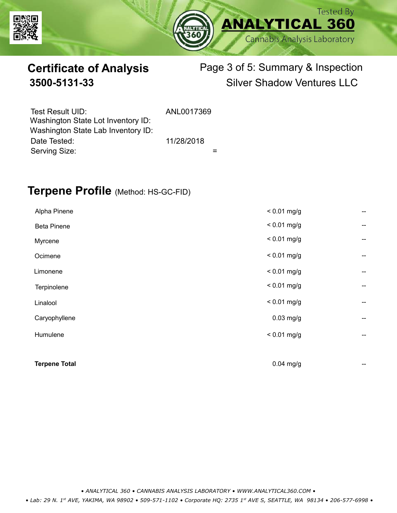



# **Certificate of Analysis** Page 3 of 5: Summary & Inspection **3500-5131-33** Silver Shadow Ventures LLC

| Test Result UID:<br>Washington State Lot Inventory ID: | ANL0017369 |  |
|--------------------------------------------------------|------------|--|
| Washington State Lab Inventory ID:                     |            |  |
| Date Tested:                                           | 11/28/2018 |  |
| Serving Size:                                          |            |  |

### **Terpene Profile** (Method: HS-GC-FID)

| <b>Terpene Total</b> | $0.04$ mg/g   | --                                    |
|----------------------|---------------|---------------------------------------|
|                      |               |                                       |
| Humulene             | $< 0.01$ mg/g | $\hspace{0.05cm}$ – $\hspace{0.05cm}$ |
| Caryophyllene        | $0.03$ mg/g   | --                                    |
| Linalool             | $< 0.01$ mg/g | --                                    |
| Terpinolene          | $< 0.01$ mg/g | --                                    |
| Limonene             | $< 0.01$ mg/g | --                                    |
| Ocimene              | $< 0.01$ mg/g | --                                    |
| Myrcene              | $< 0.01$ mg/g | --                                    |
| <b>Beta Pinene</b>   | $< 0.01$ mg/g | --                                    |
| Alpha Pinene         | $< 0.01$ mg/g | --                                    |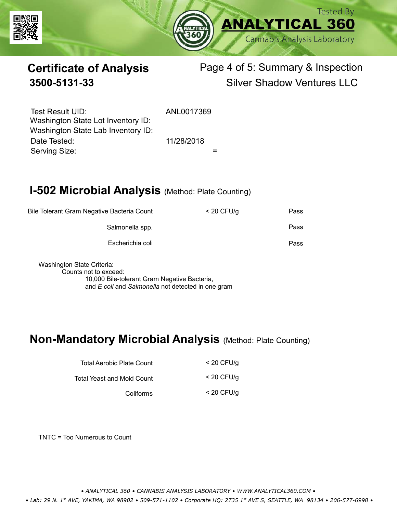



# **Certificate of Analysis** Page 4 of 5: Summary & Inspection **3500-5131-33** Silver Shadow Ventures LLC

Serving Size:  $=$ Test Result UID: ANL0017369 Date Tested: 11/28/2018 Washington State Lot Inventory ID: Washington State Lab Inventory ID:

# **I-502 Microbial Analysis (Method: Plate Counting)**

| Pass | $<$ 20 CFU/g | Bile Tolerant Gram Negative Bacteria Count |
|------|--------------|--------------------------------------------|
| Pass |              | Salmonella spp.                            |
| Pass |              | Escherichia coli                           |
|      |              |                                            |

Washington State Criteria: Counts not to exceed: 10,000 Bile-tolerant Gram Negative Bacteria, and *E coli* and *Salmonella* not detected in one gram

#### **Non-Mandatory Microbial Analysis** (Method: Plate Counting)

| Total Aerobic Plate Count  | $<$ 20 CFU/g |
|----------------------------|--------------|
| Total Yeast and Mold Count | $<$ 20 CFU/g |
| Coliforms                  | $<$ 20 CFU/g |

TNTC = Too Numerous to Count

*• ANALYTICAL 360 • CANNABIS ANALYSIS LABORATORY • WWW.ANALYTICAL360.COM •*